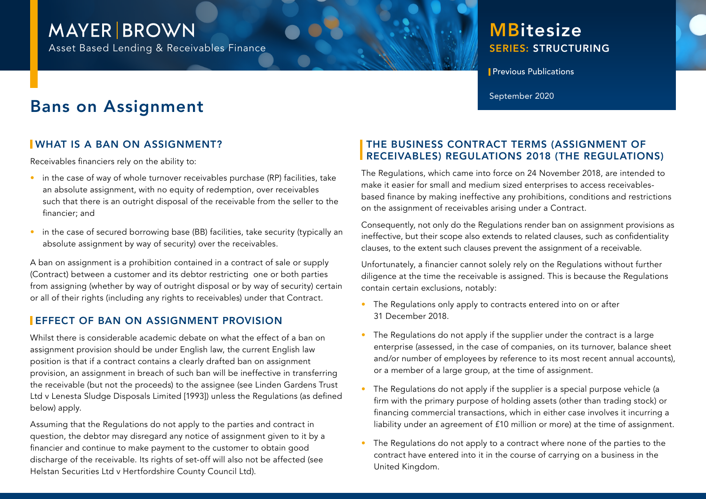## **MAYER BROWN**

Asset Based Lending & Receivables Finance

### SERIES: STRUCTURING **MBitesize**

**Previous Publications** 

# Bans on Assignment September 2020

#### WHAT IS A BAN ON ASSIGNMENT?

Receivables financiers rely on the ability to:

- in the case of way of whole turnover receivables purchase (RP) facilities, take an absolute assignment, with no equity of redemption, over receivables such that there is an outright disposal of the receivable from the seller to the financier; and
- in the case of secured borrowing base (BB) facilities, take security (typically an absolute assignment by way of security) over the receivables.

A ban on assignment is a prohibition contained in a contract of sale or supply (Contract) between a customer and its debtor restricting one or both parties from assigning (whether by way of outright disposal or by way of security) certain or all of their rights (including any rights to receivables) under that Contract.

#### **EFFECT OF BAN ON ASSIGNMENT PROVISION**

Whilst there is considerable academic debate on what the effect of a ban on assignment provision should be under English law, the current English law position is that if a contract contains a clearly drafted ban on assignment provision, an assignment in breach of such ban will be ineffective in transferring the receivable (but not the proceeds) to the assignee (see Linden Gardens Trust Ltd v Lenesta Sludge Disposals Limited [1993]) unless the Regulations (as defined below) apply.

Assuming that the Regulations do not apply to the parties and contract in question, the debtor may disregard any notice of assignment given to it by a financier and continue to make payment to the customer to obtain good discharge of the receivable. Its rights of set-off will also not be affected (see Helstan Securities Ltd v Hertfordshire County Council Ltd).

#### THE BUSINESS CONTRACT TERMS (ASSIGNMENT OF RECEIVABLES) REGULATIONS 2018 (THE REGULATIONS)

The Regulations, which came into force on 24 November 2018, are intended to make it easier for small and medium sized enterprises to access receivablesbased finance by making ineffective any prohibitions, conditions and restrictions on the assignment of receivables arising under a Contract.

Consequently, not only do the Regulations render ban on assignment provisions as ineffective, but their scope also extends to related clauses, such as confidentiality clauses, to the extent such clauses prevent the assignment of a receivable.

Unfortunately, a financier cannot solely rely on the Regulations without further diligence at the time the receivable is assigned. This is because the Regulations contain certain exclusions, notably:

- The Regulations only apply to contracts entered into on or after 31 December 2018.
- The Regulations do not apply if the supplier under the contract is a large enterprise (assessed, in the case of companies, on its turnover, balance sheet and/or number of employees by reference to its most recent annual accounts), or a member of a large group, at the time of assignment.
- The Regulations do not apply if the supplier is a special purpose vehicle (a firm with the primary purpose of holding assets (other than trading stock) or financing commercial transactions, which in either case involves it incurring a liability under an agreement of £10 million or more) at the time of assignment.
- The Regulations do not apply to a contract where none of the parties to the contract have entered into it in the course of carrying on a business in the United Kingdom.